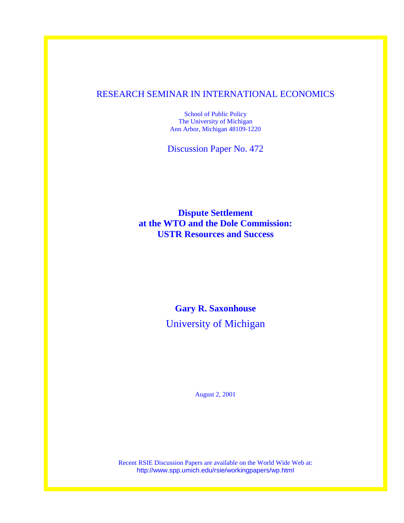# RESEARCH SEMINAR IN INTERNATIONAL ECONOMICS

School of Public Policy The University of Michigan Ann Arbor, Michigan 48109-1220

Discussion Paper No. 472

**Dispute Settlement at the WTO and the Dole Commission: USTR Resources and Success** 

> **Gary R. Saxonhouse**  University of Michigan

> > August 2, 2001

Recent RSIE Discussion Papers are available on the World Wide Web at: http://www.spp.umich.edu/rsie/workingpapers/wp.html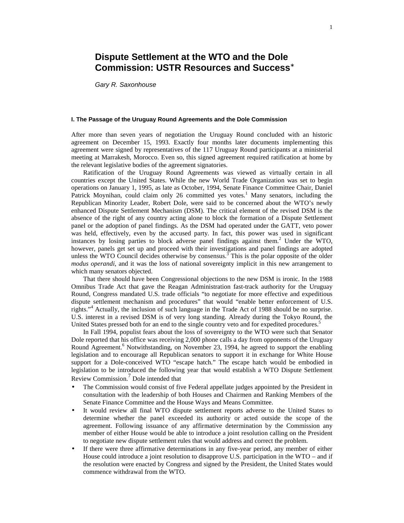## **Dispute Settlement at the WTO and the Dole Commission: USTR Resources and Success**<sup>∗</sup>

Gary R. Saxonhouse

## **I. The Passage of the Uruguay Round Agreements and the Dole Commission**

After more than seven years of negotiation the Uruguay Round concluded with an historic agreement on December 15, 1993. Exactly four months later documents implementing this agreement were signed by representatives of the 117 Uruguay Round participants at a ministerial meeting at Marrakesh, Morocco. Even so, this signed agreement required ratification at home by the relevant legislative bodies of the agreement signatories.

Ratification of the Uruguay Round Agreements was viewed as virtually certain in all countries except the United States. While the new World Trade Organization was set to begin operations on January 1, 1995, as late as October, 1994, Senate Finance Committee Chair, Daniel Patrick Moynihan, could claim only 26 committed yes votes.<sup>1</sup> Many senators, including the Republican Minority Leader, Robert Dole, were said to be concerned about the WTO's newly enhanced Dispute Settlement Mechanism (DSM). The critical element of the revised DSM is the absence of the right of any country acting alone to block the formation of a Dispute Settlement panel or the adoption of panel findings. As the DSM had operated under the GATT, veto power was held, effectively, even by the accused party. In fact, this power was used in significant instances by losing parties to block adverse panel findings against them.<sup>2</sup> Under the WTO, however, panels get set up and proceed with their investigations and panel findings are adopted unless the WTO Council decides otherwise by consensus.<sup>3</sup> This is the polar opposite of the older *modus operandi*, and it was the loss of national sovereignty implicit in this new arrangement to which many senators objected.

That there should have been Congressional objections to the new DSM is ironic. In the 1988 Omnibus Trade Act that gave the Reagan Administration fast-track authority for the Uruguay Round, Congress mandated U.S. trade officials "to negotiate for more effective and expeditious dispute settlement mechanism and procedures" that would "enable better enforcement of U.S. rights."<sup>4</sup> Actually, the inclusion of such language in the Trade Act of 1988 should be no surprise. U.S. interest in a revised DSM is of very long standing. Already during the Tokyo Round, the United States pressed both for an end to the single country veto and for expedited procedures.<sup>5</sup>

In Fall 1994, populist fears about the loss of sovereignty to the WTO were such that Senator Dole reported that his office was receiving 2,000 phone calls a day from opponents of the Uruguay Round Agreement.<sup>6</sup> Notwithstanding, on November 23, 1994, he agreed to support the enabling legislation and to encourage all Republican senators to support it in exchange for White House support for a Dole-conceived WTO "escape hatch." The escape hatch would be embodied in legislation to be introduced the following year that would establish a WTO Dispute Settlement Review Commission.<sup>7</sup> Dole intended that

- The Commission would consist of five Federal appellate judges appointed by the President in consultation with the leadership of both Houses and Chairmen and Ranking Members of the Senate Finance Committee and the House Ways and Means Committee.
- It would review all final WTO dispute settlement reports adverse to the United States to determine whether the panel exceeded its authority or acted outside the scope of the agreement. Following issuance of any affirmative determination by the Commission any member of either House would be able to introduce a joint resolution calling on the President to negotiate new dispute settlement rules that would address and correct the problem.
- If there were three affirmative determinations in any five-year period, any member of either House could introduce a joint resolution to disapprove U.S. participation in the WTO – and if the resolution were enacted by Congress and signed by the President, the United States would commence withdrawal from the WTO.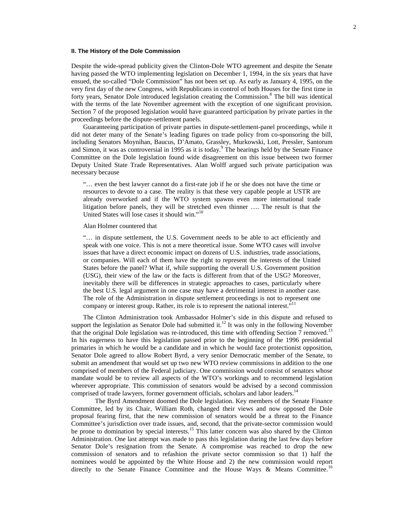### **II. The History of the Dole Commission**

Despite the wide-spread publicity given the Clinton-Dole WTO agreement and despite the Senate having passed the WTO implementing legislation on December 1, 1994, in the six years that have ensued, the so-called "Dole Commission" has not been set up. As early as January 4, 1995, on the very first day of the new Congress, with Republicans in control of both Houses for the first time in forty years, Senator Dole introduced legislation creating the Commission.<sup>8</sup> The bill was identical with the terms of the late November agreement with the exception of one significant provision. Section 7 of the proposed legislation would have guaranteed participation by private parties in the proceedings before the dispute-settlement panels.

Guaranteeing participation of private parties in dispute-settlement-panel proceedings, while it did not deter many of the Senate's leading figures on trade policy from co-sponsoring the bill, including Senators Moynihan, Baucus, D'Amato, Grassley, Murkowski, Lott, Pressler, Santorum and Simon, it was as controversial in 1995 as it is today.<sup>9</sup> The hearings held by the Senate Finance Committee on the Dole legislation found wide disagreement on this issue between two former Deputy United State Trade Representatives. Alan Wolff argued such private participation was necessary because

"… even the best lawyer cannot do a first-rate job if he or she does not have the time or resources to devote to a case. The reality is that these very capable people at USTR are already overworked and if the WTO system spawns even more international trade litigation before panels, they will be stretched even thinner …. The result is that the United States will lose cases it should win."<sup>10</sup>

#### Alan Holmer countered that

"… in dispute settlement, the U.S. Government needs to be able to act efficiently and speak with one voice. This is not a mere theoretical issue. Some WTO cases will involve issues that have a direct economic impact on dozens of U.S. industries, trade associations, or companies. Will each of them have the right to represent the interests of the United States before the panel? What if, while supporting the overall U.S. Government position (USG), their view of the law or the facts is different from that of the USG? Moreover, inevitably there will be differences in strategic approaches to cases, particularly where the best U.S. legal argument in one case may have a detrimental interest in another case. The role of the Administration in dispute settlement proceedings is not to represent one company or interest group. Rather, its role is to represent the national interest."<sup>11</sup>

The Clinton Administration took Ambassador Holmer's side in this dispute and refused to support the legislation as Senator Dole had submitted it.<sup>12</sup> It was only in the following November that the original Dole legislation was re-introduced, this time with offending Section 7 removed.<sup>13</sup> In his eagerness to have this legislation passed prior to the beginning of the 1996 presidential primaries in which he would be a candidate and in which he would face protectionist opposition, Senator Dole agreed to allow Robert Byrd, a very senior Democratic member of the Senate, to submit an amendment that would set up two new WTO review commissions in addition to the one comprised of members of the Federal judiciary. One commission would consist of senators whose mandate would be to review all aspects of the WTO's workings and to recommend legislation wherever appropriate. This commission of senators would be advised by a second commission comprised of trade lawyers, former government officials, scholars and labor leaders.<sup>14</sup>

 The Byrd Amendment doomed the Dole legislation. Key members of the Senate Finance Committee, led by its Chair, William Roth, changed their views and now opposed the Dole proposal fearing first, that the new commission of senators would be a threat to the Finance Committee's jurisdiction over trade issues, and, second, that the private-sector commission would be prone to domination by special interests.<sup>15</sup> This latter concern was also shared by the Clinton Administration. One last attempt was made to pass this legislation during the last few days before Senator Dole's resignation from the Senate. A compromise was reached to drop the new commission of senators and to refashion the private sector commission so that 1) half the nominees would be appointed by the White House and 2) the new commission would report directly to the Senate Finance Committee and the House Ways & Means Committee.<sup>16</sup>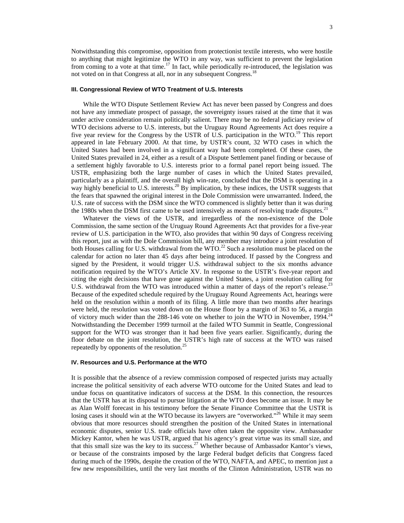Notwithstanding this compromise, opposition from protectionist textile interests, who were hostile to anything that might legitimize the WTO in any way, was sufficient to prevent the legislation from coming to a vote at that time.<sup>17</sup> In fact, while periodically re-introduced, the legislation was not voted on in that Congress at all, nor in any subsequent Congress.<sup>18</sup>

## **III. Congressional Review of WTO Treatment of U.S. Interests**

While the WTO Dispute Settlement Review Act has never been passed by Congress and does not have any immediate prospect of passage, the sovereignty issues raised at the time that it was under active consideration remain politically salient. There may be no federal judiciary review of WTO decisions adverse to U.S. interests, but the Uruguay Round Agreements Act does require a five year review for the Congress by the USTR of U.S. participation in the WTO.<sup>19</sup> This report appeared in late February 2000. At that time, by USTR's count, 32 WTO cases in which the United States had been involved in a significant way had been completed. Of these cases, the United States prevailed in 24, either as a result of a Dispute Settlement panel finding or because of a settlement highly favorable to U.S. interests prior to a formal panel report being issued. The USTR, emphasizing both the large number of cases in which the United States prevailed, particularly as a plaintiff, and the overall high win-rate, concluded that the DSM is operating in a way highly beneficial to U.S. interests.<sup>20</sup> By implication, by these indices, the USTR suggests that the fears that spawned the original interest in the Dole Commission were unwarranted. Indeed, the U.S. rate of success with the DSM since the WTO commenced is slightly better than it was during the 1980s when the DSM first came to be used intensively as means of resolving trade disputes.<sup>21</sup>

Whatever the views of the USTR, and irregardless of the non-existence of the Dole Commission, the same section of the Uruguay Round Agreements Act that provides for a five-year review of U.S. participation in the WTO, also provides that within 90 days of Congress receiving this report, just as with the Dole Commission bill, any member may introduce a joint resolution of both Houses calling for U.S. withdrawal from the WTO.<sup>22</sup> Such a resolution must be placed on the calendar for action no later than 45 days after being introduced. If passed by the Congress and signed by the President, it would trigger U.S. withdrawal subject to the six months advance notification required by the WTO's Article XV. In response to the USTR's five-year report and citing the eight decisions that have gone against the United States, a joint resolution calling for U.S. withdrawal from the WTO was introduced within a matter of days of the report's release.<sup>23</sup> Because of the expedited schedule required by the Uruguay Round Agreements Act, hearings were held on the resolution within a month of its filing. A little more than two months after hearings were held, the resolution was voted down on the House floor by a margin of 363 to 56, a margin of victory much wider than the 288-146 vote on whether to join the WTO in November, 1994.<sup>24</sup> Notwithstanding the December 1999 turmoil at the failed WTO Summit in Seattle, Congressional support for the WTO was stronger than it had been five years earlier. Significantly, during the floor debate on the joint resolution, the USTR's high rate of success at the WTO was raised repeatedly by opponents of the resolution.<sup>25</sup>

#### **IV. Resources and U.S. Performance at the WTO**

It is possible that the absence of a review commission composed of respected jurists may actually increase the political sensitivity of each adverse WTO outcome for the United States and lead to undue focus on quantitative indicators of success at the DSM. In this connection, the resources that the USTR has at its disposal to pursue litigation at the WTO does become an issue. It may be as Alan Wolff forecast in his testimony before the Senate Finance Committee that the USTR is losing cases it should win at the WTO because its lawyers are "overworked."<sup>26</sup> While it may seem obvious that more resources should strengthen the position of the United States in international economic disputes, senior U.S. trade officials have often taken the opposite view. Ambassador Mickey Kantor, when he was USTR, argued that his agency's great virtue was its small size, and that this small size was the key to its success.<sup>27</sup> Whether because of Ambassador Kantor's views, or because of the constraints imposed by the large Federal budget deficits that Congress faced during much of the 1990s, despite the creation of the WTO, NAFTA, and APEC, to mention just a few new responsibilities, until the very last months of the Clinton Administration, USTR was no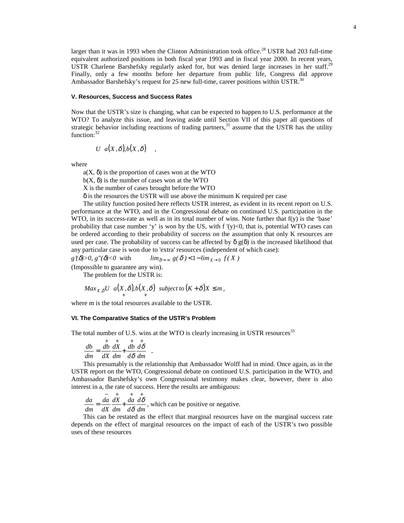larger than it was in 1993 when the Clinton Administration took office.<sup>28</sup> USTR had 203 full-time equivalent authorized positions in both fiscal year 1993 and in fiscal year 2000. In recent years, USTR Charlene Barshefsky regularly asked for, but was denied large increases in her staff.<sup>29</sup> Finally, only a few months before her departure from public life, Congress did approve Ambassador Barshefsky's request for 25 new full-time, career positions within USTR.<sup>30</sup>

#### **V. Resources, Success and Success Rates**

Now that the USTR's size is changing, what can be expected to happen to U.S. performance at the WTO? To analyze this issue, and leaving aside until Section VII of this paper all questions of strategic behavior including reactions of trading partners,<sup>31</sup> assume that the USTR has the utility function: $32$ 

$$
U\!\!\left(a(X,\delta),b(X,\delta)\right)\ ,
$$

where

 $a(X, \delta)$  is the proportion of cases won at the WTO

b( $(X, \delta)$ ) is the number of cases won at the WTO

X is the number of cases brought before the WTO

δ is the resources the USTR will use above the minimum K required per case

The utility function posited here reflects USTR interest, as evident in its recent report on U.S. performance at the WTO, and in the Congressional debate on continued U.S. participation in the WTO, in its success-rate as well as in its total number of wins. Note further that f(y) is the 'base' probability that case number 'y' is won by the US, with  $f'(y) < 0$ , that is, potential WTO cases can be ordered according to their probability of success on the assumption that only K resources are used per case. The probability of success can be affected by  $\delta g(\delta)$  is the increased likelihood that any particular case is won due to 'extra' resources (independent of which case):

$$
g'(\delta) > 0
$$
,  $g''(\delta) < 0$  with  $\lim_{\delta \to \infty} g(\delta) < 1 - \lim_{x \to 0} f(x)$ 

(Impossible to guarantee any win).

The problem for the USTR is:

$$
Max_{X,\delta}U\bigg(a(X,\delta),b(X,\delta)\bigg) subject to (K+\delta)X \leq m,
$$

where m is the total resources available to the USTR.

### **VI. The Comparative Statics of the USTR's Problem**

The total number of U.S. wins at the WTO is clearly increasing in USTR resources<sup>33</sup>

$$
\frac{db}{dm} = \frac{db}{dX}\frac{dX}{dm} + \frac{db}{d\delta}\frac{d\delta}{dm} .
$$

This presumably is the relationship that Ambassador Wolff had in mind. Once again, as in the USTR report on the WTO, Congressional debate on continued U.S. participation in the WTO, and Ambassador Barshefsky's own Congressional testimony makes clear, however, there is also interest in a, the rate of success. Here the results are ambiguous:

− + + +  $=\frac{d\alpha}{dX}\frac{d\alpha}{dm}+\frac{d\alpha}{d\delta}\frac{d\alpha}{dm}$ *d d da dm dX dX da dm*  $\frac{da}{dm} = \frac{da}{dX} \frac{dX}{dm} + \frac{da}{d\delta} \frac{d\delta}{dm}$ , which can be positive or negative.

This can be restated as the effect that marginal resources have on the marginal success rate depends on the effect of marginal resources on the impact of each of the USTR's two possible uses of these resources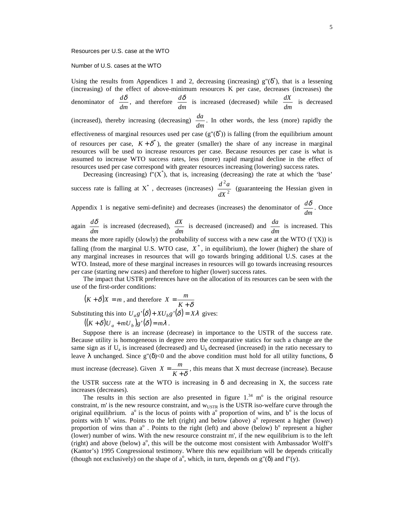Resources per U.S. case at the WTO

Number of U.S. cases at the WTO

Using the results from Appendices 1 and 2, decreasing (increasing)  $g''(\delta^*)$ , that is a lessening (increasing) of the effect of above-minimum resources K per case, decreases (increases) the denominator of  $\frac{d\delta}{dm}$ , and therefore  $\frac{d\delta}{dm}$  is increased (decreased) while  $\frac{dX}{dm}$  is decreased (increased), thereby increasing (decreasing)  $\frac{da}{dm}$ . In other words, the less (more) rapidly the effectiveness of marginal resources used per case  $(g''(\delta^*))$  is falling (from the equilibrium amount of resources per case,  $K + \delta^*$ ), the greater (smaller) the share of any increase in marginal resources will be used to increase resources per case. Because resources per case is what is assumed to increase WTO success rates, less (more) rapid marginal decline in the effect of resources used per case correspond with greater resources increasing (lowering) success rates. Decreasing (increasing)  $f''(X^*)$ , that is, increasing (decreasing) the rate at which the 'base'

success rate is falling at  $X^*$ , decreases (increases)  $\frac{d}{dx}u^2$ 2 *dX*  $\frac{d^2a}{2}$  (guaranteeing the Hessian given in

Appendix 1 is negative semi-definite) and decreases (increases) the denominator of  $\frac{d\delta}{dm}$ . Once

again  $\frac{d\delta}{dm}$  is increased (decreased),  $\frac{dX}{dm}$  is decreased (increased) and  $\frac{da}{dm}$  is increased. This means the more rapidly (slowly) the probability of success with a new case at the WTO (f '(X)) is falling (from the marginal U.S. WTO case,  $X^*$ , in equilibrium), the lower (higher) the share of any marginal increases in resources that will go towards bringing additional U.S. cases at the WTO. Instead, more of these marginal increases in resources will go towards increasing resources per case (starting new cases) and therefore to higher (lower) success rates.

The impact that USTR preferences have on the allocation of its resources can be seen with the use of the first-order conditions:

 $(K + \delta)X = m$ , and therefore  $X = \frac{m}{K + \delta}$ 

Substituting this into  $U_a g'(\delta) + X U_b g'(\delta) = X\lambda$  gives:

 $((K+\delta)U_a + mU_b)g'(\delta) = m\lambda$ .

Suppose there is an increase (decrease) in importance to the USTR of the success rate. Because utility is homogeneous in degree zero the comparative statics for such a change are the same sign as if  $U_a$  is increased (decreased) and  $U_b$  decreased (increased) in the ratio necessary to leave λ unchanged. Since g"(δ)<0 and the above condition must hold for all utility functions, δ must increase (decrease). Given  $X = \frac{m}{K + \delta}$ , this means that X must decrease (increase). Because

the USTR success rate at the WTO is increasing in  $\delta$  and decreasing in X, the success rate increases (decreases).

The results in this section are also presented in figure  $1.^{34}$  m<sup>o</sup> is the original resource constraint, m' is the new resource constraint, and  $w_{\text{USTR}}$  is the USTR iso-welfare curve through the original equilibrium.  $a^{\circ}$  is the locus of points with  $a^{\circ}$  proportion of wins, and  $b^{\circ}$  is the locus of points with  $b^{\circ}$  wins. Points to the left (right) and below (above) a<sup> $\circ$ </sup> represent a higher (lower) proportion of wins than  $a^{\circ}$ . Points to the right (left) and above (below) b<sup>o</sup> represent a higher (lower) number of wins. With the new resource constraint m', if the new equilibrium is to the left (right) and above (below)  $a^{\circ}$ , this will be the outcome most consistent with Ambassador Wolff's (Kantor's) 1995 Congressional testimony. Where this new equilibrium will be depends critically (though not exclusively) on the shape of  $a^{\circ}$ , which, in turn, depends on  $g''(\delta)$  and  $f''(y)$ .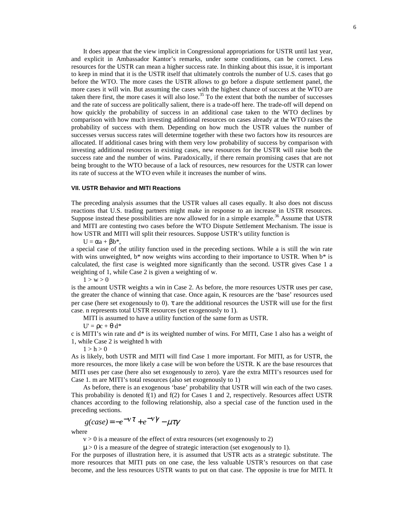It does appear that the view implicit in Congressional appropriations for USTR until last year, and explicit in Ambassador Kantor's remarks, under some conditions, can be correct. Less resources for the USTR can mean a higher success rate. In thinking about this issue, it is important to keep in mind that it is the USTR itself that ultimately controls the number of U.S. cases that go before the WTO. The more cases the USTR allows to go before a dispute settlement panel, the more cases it will win. But assuming the cases with the highest chance of success at the WTO are taken there first, the more cases it will also lose.<sup>35</sup> To the extent that both the number of successes and the rate of success are politically salient, there is a trade-off here. The trade-off will depend on how quickly the probability of success in an additional case taken to the WTO declines by comparison with how much investing additional resources on cases already at the WTO raises the probability of success with them. Depending on how much the USTR values the number of successes versus success rates will determine together with these two factors how its resources are allocated. If additional cases bring with them very low probability of success by comparison with investing additional resources in existing cases, new resources for the USTR will raise both the success rate and the number of wins. Paradoxically, if there remain promising cases that are not being brought to the WTO because of a lack of resources, new resources for the USTR can lower its rate of success at the WTO even while it increases the number of wins.

#### **VII. USTR Behavior and MITI Reactions**

The preceding analysis assumes that the USTR values all cases equally. It also does not discuss reactions that U.S. trading partners might make in response to an increase in USTR resources. Suppose instead these possibilities are now allowed for in a simple example.<sup>36</sup> Assume that USTR and MITI are contesting two cases before the WTO Dispute Settlement Mechanism. The issue is how USTR and MITI will split their resources. Suppose USTR's utility function is

 $U = \alpha a + \beta b^*$ ,

a special case of the utility function used in the preceding sections. While a is still the win rate with wins unweighted,  $b^*$  now weights wins according to their importance to USTR. When  $b^*$  is calculated, the first case is weighted more significantly than the second. USTR gives Case 1 a weighting of 1, while Case 2 is given a weighting of w.

 $1 > w > 0$ 

is the amount USTR weights a win in Case 2. As before, the more resources USTR uses per case, the greater the chance of winning that case. Once again, K resources are the 'base' resources used per case (here set exogenously to 0).  $\tau$  are the additional resources the USTR will use for the first case. n represents total USTR resources (set exogenously to 1).

MITI is assumed to have a utility function of the same form as USTR.

 $U' = \rho c + \theta d^*$ 

c is MITI's win rate and d\* is its weighted number of wins. For MITI, Case 1 also has a weight of 1, while Case 2 is weighted h with

 $1 > h > 0$ 

As is likely, both USTR and MITI will find Case 1 more important. For MITI, as for USTR, the more resources, the more likely a case will be won before the USTR. K are the base resources that MITI uses per case (here also set exogenously to zero).  $\gamma$  are the extra MITI's resources used for Case 1. m are MITI's total resources (also set exogenously to 1)

As before, there is an exogenous 'base' probability that USTR will win each of the two cases. This probability is denoted f(1) and f(2) for Cases 1 and 2, respectively. Resources affect USTR chances according to the following relationship, also a special case of the function used in the preceding sections.

$$
g(case) = -e^{-\nu\tau} + e^{-\nu\gamma} - \mu\tau\gamma
$$

where

 $v > 0$  is a measure of the effect of extra resources (set exogenously to 2)

 $\mu > 0$  is a measure of the degree of strategic interaction (set exogenously to 1). For the purposes of illustration here, it is assumed that USTR acts as a strategic substitute. The more resources that MITI puts on one case, the less valuable USTR's resources on that case become, and the less resources USTR wants to put on that case. The opposite is true for MITI. It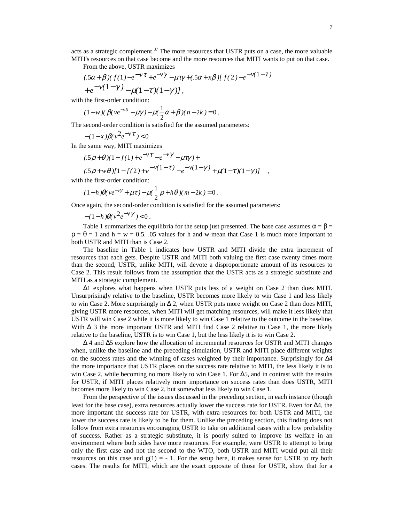acts as a strategic complement.<sup>37</sup> The more resources that USTR puts on a case, the more valuable MITI's resources on that case become and the more resources that MITI wants to put on that case.

From the above, USTR maximizes

$$
(.5\alpha + \beta)(f(1) - e^{-\nu\tau} + e^{-\nu\gamma} - \mu\tau\gamma + (.5\alpha + x\beta)[f(2) - e^{-\nu(1-\tau)} + e^{-\nu(1-\gamma)} - \mu(1-\tau)(1-\gamma)],
$$

with the first-order condition:

$$
(1-w)(\beta (ve^{-\nu\delta}-\mu\gamma)-\mu(\frac{1}{2}\alpha+\beta)(n-2k)=0.
$$

The second-order condition is satisfied for the assumed parameters:

$$
-(1-x)\beta(\nu^2 e^{-\nu\tau}) < 0
$$

In the same way, MITI maximizes

$$
(0.5\rho + \theta)(1 - f(1) + e^{-\nu\tau} - e^{-\nu\gamma} - \mu\tau\gamma) +
$$
  

$$
(0.5\rho + w\theta)[1 - f(2) + e^{-\nu(1 - \tau)} - e^{-\nu(1 - \gamma)} + \mu(1 - \tau)(1 - \gamma)]
$$

with the first-order condition:

$$
(1-h)\theta(ve^{-\nu\gamma}+\mu\tau)-\mu(\frac{1}{2}\rho+h\theta)(m-2k)=0.
$$

Once again, the second-order condition is satisfied for the assumed parameters:

$$
-(1-h)\theta(v^2e^{-v\gamma})<0.
$$

Table 1 summarizes the equilibria for the setup just presented. The base case assumes  $\alpha = \beta =$  $\rho = \theta = 1$  and  $h = w = 0.5$ . 0.05 values for h and w mean that Case 1 is much more important to both USTR and MITI than is Case 2.

The baseline in Table 1 indicates how USTR and MITI divide the extra increment of resources that each gets. Despite USTR and MITI both valuing the first case twenty times more than the second, USTR, unlike MITI, will devote a disproportionate amount of its resources to Case 2. This result follows from the assumption that the USTR acts as a strategic substitute and MITI as a strategic complement.

∆1 explores what happens when USTR puts less of a weight on Case 2 than does MITI. Unsurprisingly relative to the baseline, USTR becomes more likely to win Case 1 and less likely to win Case 2. More surprisingly in  $\Delta$  2, when USTR puts more weight on Case 2 than does MITI, giving USTR more resources, when MITI will get matching resources, will make it less likely that USTR will win Case 2 while it is more likely to win Case 1 relative to the outcome in the baseline. With  $\Delta$  3 the more important USTR and MITI find Case 2 relative to Case 1, the more likely relative to the baseline, USTR is to win Case 1, but the less likely it is to win Case 2.

∆ 4 and ∆5 explore how the allocation of incremental resources for USTR and MITI changes when, unlike the baseline and the preceding simulation, USTR and MITI place different weights on the success rates and the winning of cases weighted by their importance. Surprisingly for ∆4 the more importance that USTR places on the success rate relative to MITI, the less likely it is to win Case 2, while becoming no more likely to win Case 1. For ∆5, and in contrast with the results for USTR, if MITI places relatively more importance on success rates than does USTR, MITI becomes more likely to win Case 2, but somewhat less likely to win Case 1.

From the perspective of the issues discussed in the preceding section, in each instance (though least for the base case), extra resources actually lower the success rate for USTR. Even for ∆4, the more important the success rate for USTR, with extra resources for both USTR and MITI, the lower the success rate is likely to be for them. Unlike the preceding section, this finding does not follow from extra resources encouraging USTR to take on additional cases with a low probability of success. Rather as a strategic substitute, it is poorly suited to improve its welfare in an environment where both sides have more resources. For example, were USTR to attempt to bring only the first case and not the second to the WTO, both USTR and MITI would put all their resources on this case and  $g(1) = -1$ . For the setup here, it makes sense for USTR to try both cases. The results for MITI, which are the exact opposite of those for USTR, show that for a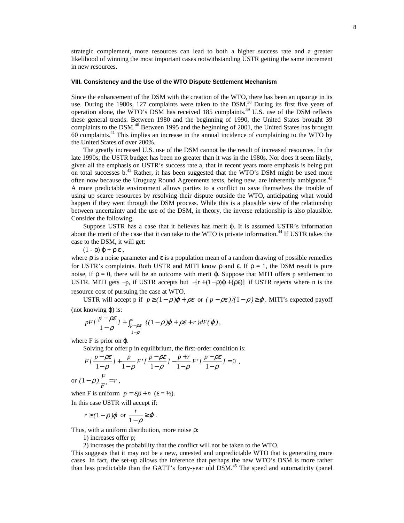strategic complement, more resources can lead to both a higher success rate and a greater likelihood of winning the most important cases notwithstanding USTR getting the same increment in new resources.

#### **VIII. Consistency and the Use of the WTO Dispute Settlement Mechanism**

Since the enhancement of the DSM with the creation of the WTO, there has been an upsurge in its use. During the 1980s, 127 complaints were taken to the DSM.<sup>38</sup> During its first five years of operation alone, the WTO's DSM has received 185 complaints.<sup>39</sup> U.S. use of the DSM reflects these general trends. Between 1980 and the beginning of 1990, the United States brought 39 complaints to the DSM.<sup>40</sup> Between 1995 and the beginning of 2001, the United States has brought 60 complaints.41 This implies an increase in the annual incidence of complaining to the WTO by the United States of over 200%.

The greatly increased U.S. use of the DSM cannot be the result of increased resources. In the late 1990s, the USTR budget has been no greater than it was in the 1980s. Nor does it seem likely, given all the emphasis on USTR's success rate a, that in recent years more emphasis is being put on total successes b.<sup>42</sup> Rather, it has been suggested that the WTO's DSM might be used more often now because the Uruguay Round Agreements texts, being new, are inherently ambiguous.<sup>43</sup> A more predictable environment allows parties to a conflict to save themselves the trouble of using up scarce resources by resolving their dispute outside the WTO, anticipating what would happen if they went through the DSM process. While this is a plausible view of the relationship between uncertainty and the use of the DSM, in theory, the inverse relationship is also plausible. Consider the following.

Suppose USTR has a case that it believes has merit ϕ. It is assumed USTR's information about the merit of the case that it can take to the WTO is private information.<sup>44</sup> If USTR takes the case to the DSM, it will get:

#### $(1 - \rho) \varphi + \rho \varepsilon$ ,

where  $\rho$  is a noise parameter and  $\varepsilon$  is a population mean of a random drawing of possible remedies for USTR's complaints. Both USTR and MITI know ρ and ε. If ρ = 1, the DSM result is pure noise, if  $\rho = 0$ , there will be an outcome with merit  $\varphi$ . Suppose that MITI offers p settlement to USTR. MITI gets -p, if USTR accepts but  $-[r+(1-p)\varphi+(\rho\epsilon)]$  if USTR rejects where n is the resource cost of pursuing the case at WTO.

USTR will accept p if  $p \ge (1 - \rho)\varphi + \rho \varepsilon$  or  $(p - \rho \varepsilon)/(1 - \rho) \ge \varphi$ . MITI's expected payoff (not knowing ϕ) is:

$$
pF\left[\frac{p-\rho\epsilon}{1-\rho}J+\int_{\frac{p-\rho\epsilon}{1-\rho}}^{\infty}\right. \left\{(1-\rho)\varphi+\rho\epsilon+r\right\}dF(\varphi),
$$

where  $F$  is prior on  $\varphi$ .

Solving for offer p in equilibrium, the first-order condition is:

$$
F\left[\frac{p-\rho\epsilon}{1-\rho}j+\frac{p}{1-\rho}F'\left[\frac{p-\rho\epsilon}{1-\rho}j-\frac{p+r}{1-\rho}F'\left[\frac{p-\rho\epsilon}{1-\rho}j=0\right]\right]\right]
$$
  
or  $(1-\rho)\frac{F}{F'}=r$ ,

when F is uniform  $p = \varepsilon \rho + n$  ( $\varepsilon = \frac{1}{2}$ ).

In this case USTR will accept if:

$$
r \ge (1 - \rho)\varphi
$$
 or  $\frac{r}{1 - \rho} \ge \varphi$ .

Thus, with a uniform distribution, more noise ρ:

1) increases offer p;

2) increases the probability that the conflict will not be taken to the WTO.

This suggests that it may not be a new, untested and unpredictable WTO that is generating more cases. In fact, the set-up allows the inference that perhaps the new WTO's DSM is more rather than less predictable than the GATT's forty-year old DSM.<sup>45</sup> The speed and automaticity (panel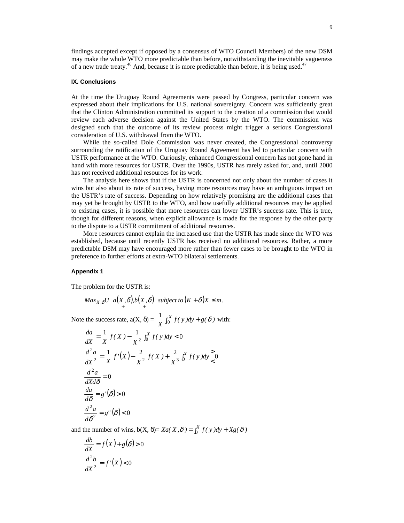findings accepted except if opposed by a consensus of WTO Council Members) of the new DSM may make the whole WTO more predictable than before, notwithstanding the inevitable vagueness of a new trade treaty.<sup>46</sup> And, because it is more predictable than before, it is being used.<sup>47</sup>

## **IX. Conclusions**

At the time the Uruguay Round Agreements were passed by Congress, particular concern was expressed about their implications for U.S. national sovereignty. Concern was sufficiently great that the Clinton Administration committed its support to the creation of a commission that would review each adverse decision against the United States by the WTO. The commission was designed such that the outcome of its review process might trigger a serious Congressional consideration of U.S. withdrawal from the WTO.

While the so-called Dole Commission was never created, the Congressional controversy surrounding the ratification of the Uruguay Round Agreement has led to particular concern with USTR performance at the WTO. Curiously, enhanced Congressional concern has not gone hand in hand with more resources for USTR. Over the 1990s, USTR has rarely asked for, and, until 2000 has not received additional resources for its work.

The analysis here shows that if the USTR is concerned not only about the number of cases it wins but also about its rate of success, having more resources may have an ambiguous impact on the USTR's rate of success. Depending on how relatively promising are the additional cases that may yet be brought by USTR to the WTO, and how usefully additional resources may be applied to existing cases, it is possible that more resources can lower USTR's success rate. This is true, though for different reasons, when explicit allowance is made for the response by the other party to the dispute to a USTR commitment of additional resources.

More resources cannot explain the increased use that the USTR has made since the WTO was established, because until recently USTR has received no additional resources. Rather, a more predictable DSM may have encouraged more rather than fewer cases to be brought to the WTO in preference to further efforts at extra-WTO bilateral settlements.

## **Appendix 1**

The problem for the USTR is:

$$
Max_{X,\delta}U\left(a(X,\delta),b(X,\delta)\right) \text{subject to } (K+\delta)X \leq m.
$$

Note the success rate,  $a(X, \delta) = \frac{1}{X} \int_0^X f(y) dy + g(\delta)$  with:

$$
\frac{da}{dX} = \frac{1}{X} f(X) - \frac{1}{X^2} \int_0^X f(y) dy < 0
$$
  

$$
\frac{d^2a}{dX^2} = \frac{1}{X} f'(X) - \frac{2}{X^2} f(X) + \frac{2}{X^3} \int_0^X f(y) dy \Big|_0^X
$$
  

$$
\frac{d^2a}{dX d\delta} = 0
$$
  

$$
\frac{da}{d\delta} = g'(\delta) > 0
$$
  

$$
\frac{d^2a}{d\delta^2} = g''(\delta) < 0
$$

and the number of wins,  $b(X, \delta) = Xa(X, \delta) = \int_0^X f(y) dy + Xg(\delta)$ 

$$
\frac{db}{dX} = f(X) + g(\delta) > 0
$$

$$
\frac{d^2b}{dX^2} = f'(X) < 0
$$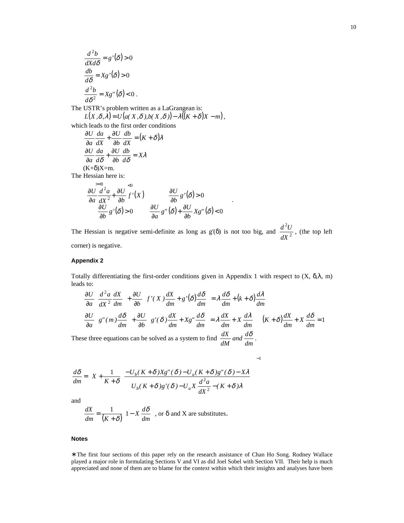The USTR's problem written as a LaGrangean is:  $L(X, \delta, \lambda) = U(a(X, \delta), b(X, \delta)) - \lambda((K + \delta)X - m),$ 

which leads to the first order conditions

$$
\frac{\partial U}{\partial a} \frac{da}{dX} + \frac{\partial U}{\partial b} \frac{db}{dX} = (K + \delta)\lambda
$$

$$
\frac{\partial U}{\partial a} \frac{da}{d\delta} + \frac{\partial U}{\partial b} \frac{db}{d\delta} = X\lambda
$$

$$
(K + \delta)X = m.
$$

The Hessian here is:

$$
\begin{bmatrix}\n\frac{\partial U}{\partial a} & \frac{\partial^2 u}{\partial a^2} + \frac{\partial U}{\partial b} & f'(X) & \frac{\partial U}{\partial b} & g'(\delta) > 0 \\
\frac{\partial U}{\partial b} & g'(\delta) > 0 & \frac{\partial U}{\partial a} & g''(\delta) + \frac{\partial U}{\partial b} & Xg''(\delta) < 0\n\end{bmatrix}.
$$

The Hessian is negative semi-definite as long as  $g'(\delta)$  is not too big, and  $\frac{dG}{dV^2}$ 2 *dX*  $\frac{d^2U}{2}$ , (the top left corner) is negative.

### **Appendix 2**

Totally differentiating the first-order conditions given in Appendix 1 with respect to  $(X, \delta, \lambda, m)$ leads to:  $\ddot{\phantom{1}}$ 

$$
\frac{\partial U}{\partial a} \left( \frac{d^2 a}{dX^2} \frac{dX}{dm} \right) + \frac{\partial U}{\partial b} \left( f'(X) \frac{dX}{dm} + g'(\delta) \frac{d\delta}{dm} \right) = \lambda \frac{d\delta}{dm} + (k + \delta) \frac{d\lambda}{dm}
$$
  

$$
\frac{\partial U}{\partial a} \left( g''(m) \frac{d\delta}{dm} \right) + \frac{\partial U}{\partial b} \left( g'(\delta) \frac{dX}{dm} + Xg'' \frac{d\delta}{dm} \right) = \lambda \frac{dX}{dm} + X \frac{d\lambda}{dm} \qquad (K + \delta) \frac{dX}{dm} + X \frac{d\delta}{dm} = 1
$$

These three equations can be solved as a system to find  $\frac{dX}{dM}$  and  $\frac{d\delta}{dm}$ .

$$
\frac{d\delta}{dm} = \left[ X + \frac{1}{K + \delta} \left( \frac{-U_b(K + \delta)Xg''(\delta) - U_a(K + \delta)g''(\delta) - X\lambda}{U_b(K + \delta)g'(\delta) - U_a X \frac{d^2 a}{dX^2} - (K + \delta)\lambda} \right) \right]^{-1}
$$
\nand

$$
\frac{dX}{dm} = \frac{1}{(K+\delta)} \left(1 - X \frac{d\delta}{dm}\right)
$$
, or  $\delta$  and X are substitutes.

## **Notes**

∗ The first four sections of this paper rely on the research assistance of Chan Ho Song. Rodney Wallace played a major role in formulating Sections V and VI as did Joel Sobel with Section VII. Their help is much appreciated and none of them are to blame for the context within which their insights and analyses have been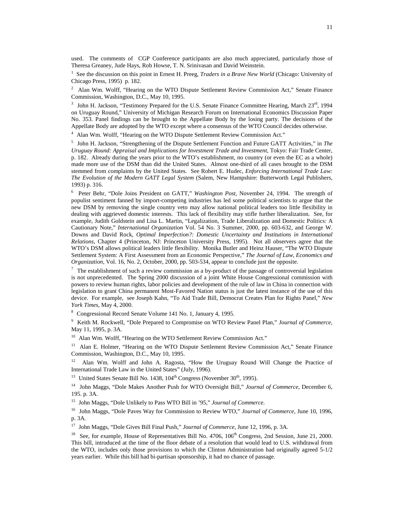used. The comments of CGP Conference participants are also much appreciated, particularly those of Theresa Greaney, Jude Hays, Rob Howse, T. N. Srinivasan and David Weinstein.

<sup>1</sup> See the discussion on this point in Ernest H. Preeg, *Traders in a Brave New World* (Chicago: University of Chicago Press, 1995) p. 182.

 $2$  Alan Wm. Wolff, "Hearing on the WTO Dispute Settlement Review Commission Act," Senate Finance Commission, Washington, D.C., May 10, 1995.

John H. Jackson, "Testimony Prepared for the U.S. Senate Finance Committee Hearing, March 23rd, 1994 on Uruguay Round," University of Michigan Research Forum on International Economics Discussion Paper No. 353. Panel findings can be brought to the Appellate Body by the losing party. The decisions of the Appellate Body are adopted by the WTO except where a consensus of the WTO Council decides otherwise.

<sup>4</sup> Alan Wm. Wolff, "Hearing on the WTO Dispute Settlement Review Commission Act."

<sup>5</sup> John H. Jackson, "Strengthening of the Dispute Settlement Function and Future GATT Activities," in *The Uruguay Round: Appraisal and Implications for Investment Trade and Investment*, Tokyo: Fair Trade Center, p. 182. Already during the years prior to the WTO's establishment, no country (or even the EC as a whole) made more use of the DSM than did the United States. Almost one-third of all cases brought to the DSM stemmed from complaints by the United States. See Robert E. Hudec, *Enforcing International Trade Law: The Evolution of the Modern GATT Legal System* (Salem, New Hampshire: Butterworth Legal Publishers, 1993) p. 316.

<sup>6</sup> Peter Behr, "Dole Joins President on GATT," *Washington Post*, November 24, 1994. The strength of populist sentiment fanned by import-competing industries has led some political scientists to argue that the new DSM by removing the single country veto may allow national political leaders too little flexibility in dealing with aggrieved domestic interests. This lack of flexibility may stifle further liberalization. See, for example, Judith Goldstein and Lisa L. Martin, "Legalization, Trade Liberalization and Domestic Politics: A Cautionary Note," *International Organization* Vol. 54 No. 3 Summer, 2000, pp. 603-632, and George W. Downs and David Rock, *Optimal Imperfection?: Domestic Uncertainty and Institutions in International Relations*, Chapter 4 (Princeton, NJ: Princeton University Press, 1995). Not all observers agree that the WTO's DSM allows political leaders little flexibility. Monika Butler and Heinz Hauser, "The WTO Dispute Settlement System: A First Assessment from an Economic Perspective," *The Journal of Law, Economics and Organization*, Vol. 16, No. 2, October, 2000, pp. 503-534, appear to conclude just the opposite.

 $7$  The establishment of such a review commission as a by-product of the passage of controversial legislation is not unprecedented. The Spring 2000 discussion of a joint White House Congressional commission with powers to review human rights, labor policies and development of the rule of law in China in connection with legislation to grant China permanent Most-Favored Nation status is just the latest instance of the use of this device. For example, see Joseph Kahn, "To Aid Trade Bill, Democrat Creates Plan for Rights Panel," *New York Times*, May 4, 2000.<br><sup>8</sup> Congressional Record Senate Volume 141 No. 1, January 4, 1995.

<sup>9</sup> Keith M. Rockwell, "Dole Prepared to Compromise on WTO Review Panel Plan," *Journal of Commerce*, May 11, 1995, p. 3A.

<sup>10</sup> Alan Wm. Wolff, "Hearing on the WTO Settlement Review Commission Act."

<sup>11</sup> Alan E. Holmer, "Hearing on the WTO Dispute Settlement Review Commission Act," Senate Finance Commission, Washington, D.C., May 10, 1995.

 $12$  Alan Wm. Wolff and John A. Ragosta, "How the Uruguay Round Will Change the Practice of International Trade Law in the United States" (July, 1996).

<sup>13</sup> United States Senate Bill No. 1438, 104<sup>th</sup> Congress (November 30<sup>th</sup>, 1995).

<sup>14</sup> John Maggs, "Dole Makes Another Push for WTO Oversight Bill," *Journal of Commerce*, December 6, 195. p. 3A.

<sup>15</sup> John Maggs, "Dole Unlikely to Pass WTO Bill in '95," *Journal of Commerce*.

<sup>16</sup> John Maggs, "Dole Paves Way for Commission to Review WTO," *Journal of Commerce*, June 10, 1996, p. 3A.

<sup>17</sup> John Maggs, "Dole Gives Bill Final Push," *Journal of Commerce*, June 12, 1996, p. 3A.

<sup>18</sup> See, for example, House of Representatives Bill No.  $4706$ ,  $106<sup>th</sup>$  Congress, 2nd Session, June 21, 2000. This bill, introduced at the time of the floor debate of a resolution that would lead to U.S. withdrawal from the WTO, includes only those provisions to which the Clinton Administration had originally agreed 5-1/2 years earlier. While this bill had bi-partisan sponsorship, it had no chance of passage.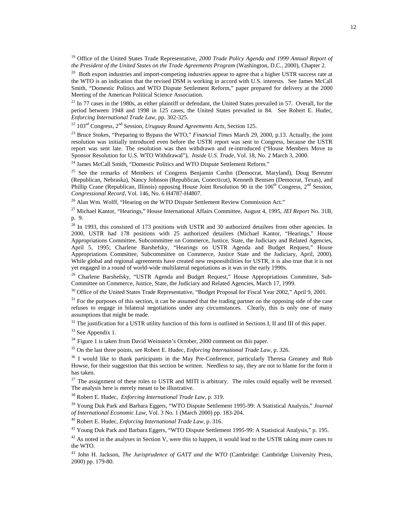<sup>19</sup> Office of the United States Trade Representative, 2000 Trade Policy Agenda and 1999 Annual Report of *the President of the United States on the Trade Agreements Program* (Washington, D.C., 2000), Chapter 2.

<sup>20</sup> Both export industries and import-competing industries appear to agree that a higher USTR success rate at the WTO is an indication that the revised DSM is working in accord with U.S. interests. See James McCall Smith, "Domestic Politics and WTO Dispute Settlement Reform," paper prepared for delivery at the 2000 Meeting of the American Political Science Association.

 $21$  In 77 cases in the 1980s, as either plaintiff or defendant, the United States prevailed in 57. Overall, for the period between 1948 and 1998 in 125 cases, the United States prevailed in 84. See Robert E. Hudec, *Enforcing International Trade Law*, pp. 302-325.

22 103rd Congress, 2nd Session, *Uruguay Round Agreements Acts*, Section 125.

23 Bruce Stokes, "Preparing to Bypass the WTO," *Financial Times* March 29, 2000, p.13. Actually, the joint resolution was initially introduced even before the USTR report was sent to Congress, because the USTR report was sent late. The resolution was then withdrawn and re-introduced ("House Members Move to Sponsor Resolution for U.S. WTO Withdrawal"), *Inside U.S. Trade*, Vol. 18, No. 2 March 3, 2000.

<sup>24</sup> James McCall Smith, "Domestic Politics and WTO Dispute Settlement Reform."

 $25$  See the remarks of Members of Congress Benjamin Cardin (Democrat, Maryland), Doug Bereuter (Republican, Nebraska), Nancy Johnson (Republican, Conecticut), Kenneth Bentsen (Democrat, Texas), and Phillip Crane (Republican, Illinois) opposing House Joint Resolution 90 in the 106<sup>th</sup> Congress, 2<sup>nd</sup> Session, *Congressional Record*, Vol. 146, No. 6 H4787-H4807.

<sup>26</sup> Alan Wm. Wolff, "Hearing on the WTO Dispute Settlement Review Commission Act."

27 Michael Kantor, "Hearings," House International Affairs Committee, August 4, 1995, *JEI Report* No. 31B, p. 9.

 $^{28}$  In 1993, this consisted of 173 positions with USTR and 30 authorized detailees from other agencies. In 2000, USTR had 178 positions with 25 authorized detailees (Michael Kantor, "Hearings," House Appropriations Committee, Subcommittee on Commerce, Justice, State, the Judiciary and Related Agencies, April 5, 1995; Charlene Barshefsky, "Hearings on USTR Agenda and Budget Request," House Appropriations Committee, Subcommittee on Commerce, Justice State and the Judiciary, April, 2000). While global and regional agreements have created new responsibilities for USTR, it is also true that it is not yet engaged in a round of world-wide multilateral negotiations as it was in the early 1990s.

<sup>29</sup> Charlene Barshefsky, "USTR Agenda and Budget Request," House Appropriations Committee, Sub-Committee on Commerce, Justice, State, the Judiciary and Related Agencies, March 17, 1999.

<sup>30</sup> Office of the United States Trade Representative, "Budget Proposal for Fiscal Year 2002," April 9, 2001.

<sup>31</sup> For the purposes of this section, it can be assumed that the trading partner on the opposing side of the case refuses to engage in bilateral negotiations under any circumstances. Clearly, this is only one of many assumptions that might be made.

 $32$  The justification for a USTR utility function of this form is outlined in Sections I, II and III of this paper.

<sup>33</sup> See Appendix 1.

<sup>34</sup> Figure 1 is taken from David Weinstein's October, 2000 comment on this paper.

35 On the last three points, see Robert E. Hudec, *Enforcing International Trade Law*, p. 326.

<sup>36</sup> I would like to thank participants in the May Pre-Conference, particularly Theresa Greaney and Rob Howse, for their suggestion that this section be written. Needless to say, they are not to blame for the form it has taken.

<sup>37</sup> The assignment of these roles to USTR and MITI is arbitrary. The roles could equally well be reversed. The analysis here is merely meant to be illustrative.

38 Robert E. Hudec, *Enforcing International Trade Law*, p. 319.

39 Young Duk Park and Barbara Eggers, "WTO Dispute Settlement 1995-99: A Statistical Analysis," *Journal of International Economic Law*, Vol. 3 No. 1 (March 2000) pp. 183-204.

40 Robert E. Hudec, *Enforcing International Trade Law*, p. 316.

<sup>41</sup> Young Duk Park and Barbara Eggers, "WTO Dispute Settlement 1995-99: A Statistical Analysis," p. 195.

 $42$  As noted in the analyses in Section V, were this to happen, it would lead to the USTR taking more cases to the WTO.

43 John H. Jackson, *The Jurisprudence of GATT and the WTO* (Cambridge: Cambridge University Press, 2000) pp. 179-80.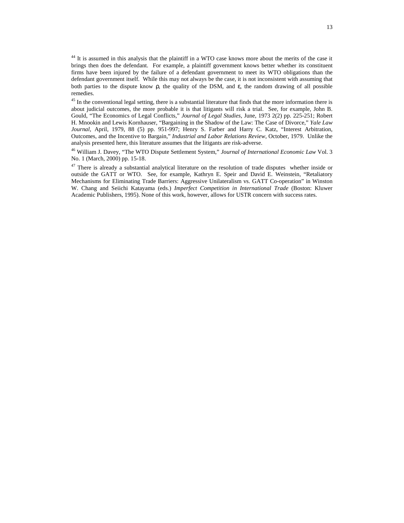<sup>44</sup> It is assumed in this analysis that the plaintiff in a WTO case knows more about the merits of the case it brings then does the defendant. For example, a plaintiff government knows better whether its constituent firms have been injured by the failure of a defendant government to meet its WTO obligations than the defendant government itself. While this may not always be the case, it is not inconsistent with assuming that both parties to the dispute know ρ, the quality of the DSM, and ε, the random drawing of all possible remedies.

 $45$  In the conventional legal setting, there is a substantial literature that finds that the more information there is about judicial outcomes, the more probable it is that litigants will risk a trial. See, for example, John B. Gould, "The Economics of Legal Conflicts," *Journal of Legal Studies*, June, 1973 2(2) pp. 225-251; Robert H. Mnookin and Lewis Kornhauser, "Bargaining in the Shadow of the Law: The Case of Divorce," *Yale Law Journal*, April, 1979, 88 (5) pp. 951-997; Henry S. Farber and Harry C. Katz, "Interest Arbitration, Outcomes, and the Incentive to Bargain," *Industrial and Labor Relations Review*, October, 1979. Unlike the analysis presented here, this literature assumes that the litigants are risk-adverse.

46 William J. Davey, "The WTO Dispute Settlement System," *Journal of International Economic Law* Vol. 3 No. 1 (March, 2000) pp. 15-18.

<sup>47</sup> There is already a substantial analytical literature on the resolution of trade disputes whether inside or outside the GATT or WTO. See, for example, Kathryn E. Speir and David E. Weinstein, "Retaliatory Mechanisms for Eliminating Trade Barriers: Aggressive Unilateralism vs. GATT Co-operation" in Winston W. Chang and Seiichi Katayama (eds.) *Imperfect Competition in International Trade* (Boston: Kluwer Academic Publishers, 1995). None of this work, however, allows for USTR concern with success rates.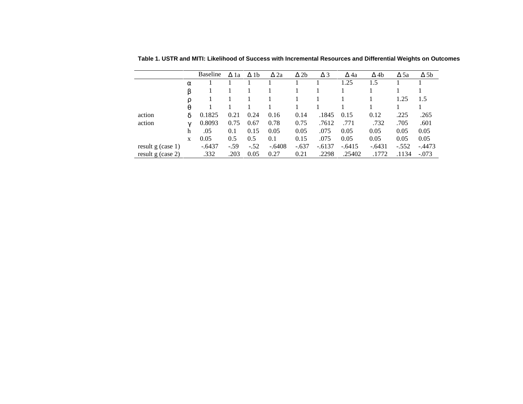|                     |             | <b>Baseline</b> | $\Delta$ 1a | $\Delta$ 1b | $\Delta$ 2a | $\Delta 2b$ | $\Delta$ 3 | $\Delta$ 4a | $\Delta 4b$ | $\Delta$ 5a | $\Delta$ 5b |
|---------------------|-------------|-----------------|-------------|-------------|-------------|-------------|------------|-------------|-------------|-------------|-------------|
|                     | $\alpha$    |                 |             |             |             |             |            | 1.25        | 1.5         |             |             |
|                     | ß           |                 |             |             |             |             |            |             |             |             |             |
|                     | ρ           |                 |             |             |             |             |            |             |             | 1.25        | 1.5         |
|                     | θ           |                 |             |             |             |             |            |             |             |             |             |
| action              | δ           | 0.1825          | 0.21        | 0.24        | 0.16        | 0.14        | .1845      | 0.15        | 0.12        | .225        | .265        |
| action              | $\mathbf v$ | 0.8093          | 0.75        | 0.67        | 0.78        | 0.75        | .7612      | .771        | .732        | .705        | .601        |
|                     | h           | .05             | 0.1         | 0.15        | 0.05        | 0.05        | .075       | 0.05        | 0.05        | 0.05        | 0.05        |
|                     | X           | 0.05            | 0.5         | 0.5         | 0.1         | 0.15        | .075       | 0.05        | 0.05        | 0.05        | 0.05        |
| result $g$ (case 1) |             | $-.6437$        | $-.59$      | $-.52$      | $-.6408$    | $-.637$     | $-.6137$   | $-.6415$    | $-.6431$    | $-.552$     | $-.4473$    |
| result $g$ (case 2) |             | .332            | .203        | 0.05        | 0.27        | 0.21        | .2298      | .25402      | .1772       | .1134       | $-.073$     |

**Table 1. USTR and MITI: Likelihood of Success with Incremental Resources and Differential Weights on Outcomes**